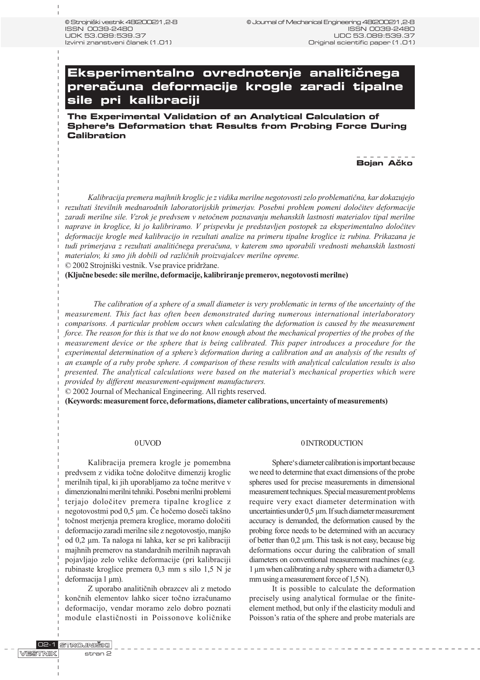# **Eksperimentalno ovrednotenje analitičnega prera~una deformacije krogle zaradi tipalne sile pri kalibraciji**

**The Experimental Validation of an Analytical Calculation of Sphere's Deformation that Results from Probing Force During Calibration**

**Bojan Ačko** 

Kalibracija premera majhnih kroglic je z vidika merilne negotovosti zelo problematièna, kar dokazujejo rezultati številnih mednarodnih laboratorijskih primerjav. Posebni problem pomeni določitev deformacije zaradi merilne sile. Vzrok je predvsem v netoènem poznavanju mehanskih lastnosti materialov tipal merilne naprave in kroglice, ki jo kalibriramo. V prispevku je predstavljen postopek za eksperimentalno doloèitev deformacije krogle med kalibracijo in rezultati analize na primeru tipalne kroglice iz rubina. Prikazana je tudi primerjava z rezultati analitiènega preraèuna, v katerem smo uporabili vrednosti mehanskih lastnosti materialov, ki smo jih dobili od razliènih proizvajalcev merilne opreme.

© 2002 Strojniški vestnik. Vse pravice pridržane.

(Kljuène besede: sile merilne, deformacije, kalibriranje premerov, negotovosti merilne)

The calibration of a sphere of a small diameter is very problematic in terms of the uncertainty of the measurement. This fact has often been demonstrated during numerous international interlaboratory comparisons. A particular problem occurs when calculating the deformation is caused by the measurement force. The reason for this is that we do not know enough about the mechanical properties of the probes of the measurement device or the sphere that is being calibrated. This paper introduces a procedure for the experimental determination of a sphere's deformation during a calibration and an analysis of the results of an example of a ruby probe sphere. A comparison of these results with analytical calculation results is also presented. The analytical calculations were based on the material's mechanical properties which were provided by different measurement-equipment manufacturers.

© 2002 Journal of Mechanical Engineering. All rights reserved.

(Keywords: measurement force, deformations, diameter calibrations, uncertainty of measurements)

#### 0 UVOD

Kalibracija premera krogle je pomembna predvsem z vidika toène doloèitve dimenzij kroglic merilnih tipal, ki jih uporabljamo za toène meritve v dimenzionalni merilni tehniki. Posebni merilni problemi terjajo doloèitev premera tipalne kroglice z negotovostmi pod 0,5 µm. Če hočemo doseči takšno toènost merjenja premera kroglice, moramo doloèiti deformacijo zaradi merilne sile z negotovostjo, manjšo od 0,2 µm. Ta naloga ni lahka, ker se pri kalibraciji majhnih premerov na standardnih merilnih napravah pojavljajo zelo velike deformacije (pri kalibraciji rubinaste kroglice premera 0,3 mm s silo 1,5 N je deformacija 1 μm).

Z uporabo analitiènih obrazcev ali z metodo konènih elementov lahko sicer toèno izraèunamo deformacijo, vendar moramo zelo dobro poznati module elastiènosti in Poissonove koliènike

#### 0 INTRODUCTION

Sphere's diameter calibration is important because we need to determine that exact dimensions of the probe spheres used for precise measurements in dimensional measurement techniques. Special measurement problems require very exact diameter determination with uncertainties under 0,5 µm. If such diameter measurement accuracy is demanded, the deformation caused by the probing force needs to be determined with an accuracy of better than 0,2 µm. This task is not easy, because big deformations occur during the calibration of small diameters on conventional measurement machines (e.g. 1 µm when calibrating a ruby sphere with a diameter 0,3 mm using a measurement force of 1,5 N).

It is possible to calculate the deformation precisely using analytical formulae or the finiteelement method, but only if the elasticity moduli and Poisson's ratia of the sphere and probe materials are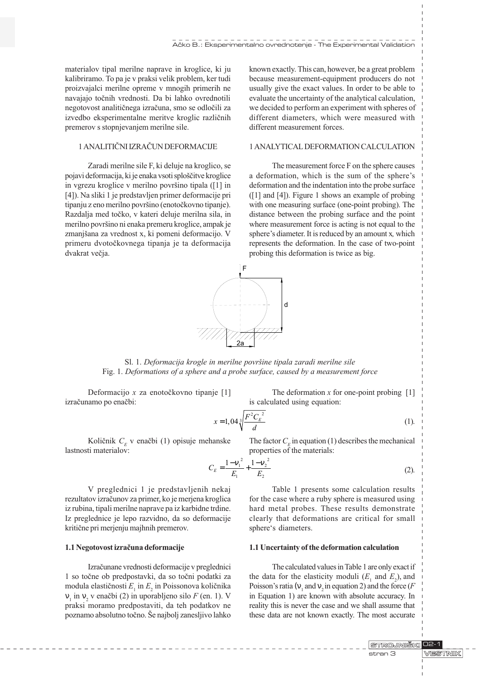materialov tipal merilne naprave in kroglice, ki ju kalibriramo. To pa je v praksi velik problem, ker tudi proizvajalci merilne opreme v mnogih primerih ne navajajo toènih vrednosti. Da bi lahko ovrednotili negotovost analitiènega izraèuna, smo se odloèili za izvedbo eksperimentalne meritve kroglic razliènih premerov s stopnjevanjem merilne sile.

## 1 ANALITIÈNI IZRAÈUN DEFORMACIJE

Zaradi merilne sile F, ki deluje na kroglico, se pojavi deformacija, ki je enaka vsoti sploščitve kroglice in vgrezu kroglice v merilno površino tipala ([1] in [4]). Na sliki 1 je predstavljen primer deformacije pri tipanju z eno merilno površino (enotočkovno tipanje). Razdalja med toèko, v kateri deluje merilna sila, in merilno površino ni enaka premeru kroglice, ampak je zmanjšana za vrednost x, ki pomeni deformacijo. V primeru dvotoèkovnega tipanja je ta deformacija dvakrat večja.

known exactly. This can, however, be a great problem because measurement-equipment producers do not usually give the exact values. In order to be able to evaluate the uncertainty of the analytical calculation, we decided to perform an experiment with spheres of different diameters, which were measured with different measurement forces.

# 1 ANALYTICAL DEFORMATION CALCULATION

The measurement force F on the sphere causes a deformation, which is the sum of the sphere's deformation and the indentation into the probe surface ([1] and [4]). Figure 1 shows an example of probing with one measuring surface (one-point probing). The distance between the probing surface and the point where measurement force is acting is not equal to the sphere's diameter. It is reduced by an amount x, which represents the deformation. In the case of two-point probing this deformation is twice as big.



Sl. 1. Deformacija krogle in merilne površine tipala zaradi merilne sile Fig. 1. Deformations of a sphere and a probe surface, caused by a measurement force

Deformacijo x za enotočkovno tipanje [1] izraèunamo po enaèbi:

The deformation  $x$  for one-point probing  $[1]$ is calculated using equation:

$$
x = 1,04\sqrt[3]{\frac{F^2 C_E^2}{d}}
$$
 (1).

Količnik  $C<sub>F</sub>$  v enačbi (1) opisuje mehanske lastnosti materialov:

The factor  $C<sub>r</sub>$  in equation (1) describes the mechanical properties of the materials:

$$
C_E = \frac{1 - v_1^2}{E_1} + \frac{1 - v_2^2}{E_2}
$$
 (2).

V preglednici 1 je predstavljenih nekaj rezultatov izraèunov za primer, ko je merjena kroglica iz rubina, tipali merilne naprave pa iz karbidne trdine. Iz preglednice je lepo razvidno, da so deformacije kritiène pri merjenju majhnih premerov.

#### 1.1 Negotovost izraèuna deformacije

Izraèunane vrednosti deformacije v preglednici 1 so toène ob predpostavki, da so toèni podatki za modula elastičnosti  $E_{1}$  in  $E_{2}$  in Poissonova količnika  $\frac{1}{1}$  in  $\frac{1}{2}$  v enačbi (2) in uporabljeno silo F (en. 1). V praksi moramo predpostaviti, da teh podatkov ne poznamo absolutno točno. Še najbolj zanesljivo lahko

Table 1 presents some calculation results for the case where a ruby sphere is measured using hard metal probes. These results demonstrate clearly that deformations are critical for small sphere's diameters.

#### 1.1 Uncertainty of the deformation calculation

The calculated values in Table 1 are only exact if the data for the elasticity moduli  $(E_1$  and  $E_2$ ), and Poisson's ratia ( $\frac{1}{1}$  and  $\frac{1}{2}$  in equation 2) and the force (F in Equation 1) are known with absolute accuracy. In reality this is never the case and we shall assume that these data are not known exactly. The most accurate

> STROJNIŠKI 02-1 **MESTINIK** stran 3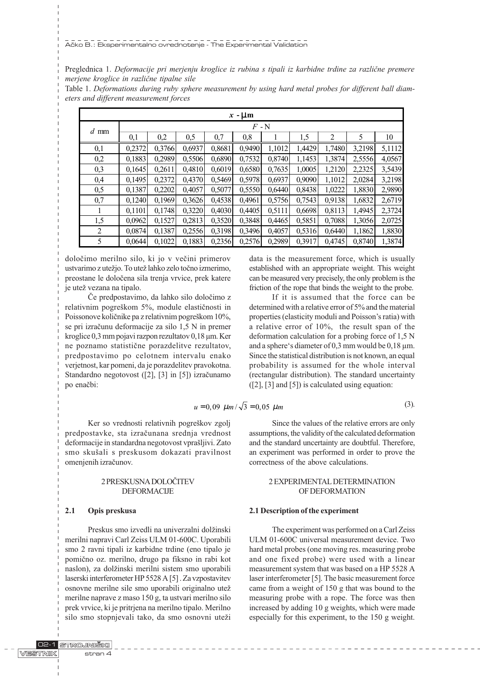Preglednica 1. Deformacije pri merjenju kroglice iz rubina s tipali iz karbidne trdine za različne premere merjene kroglice in razliène tipalne sile

Table 1. Deformations during ruby sphere measurement by using hard metal probes for different ball diameters and different measurement forces

| $x - \mu m$ |         |        |        |        |        |        |        |        |        |        |  |  |
|-------------|---------|--------|--------|--------|--------|--------|--------|--------|--------|--------|--|--|
| $d$ mm      | $F$ - N |        |        |        |        |        |        |        |        |        |  |  |
|             | 0,1     | 0,2    | 0,5    | 0,7    | 0,8    |        | 1,5    | 2      | 5      | 10     |  |  |
| 0,1         | 0,2372  | 0,3766 | 0,6937 | 0,8681 | 0,9490 | 1,1012 | 1,4429 | 1,7480 | 3,2198 | 5,1112 |  |  |
| 0,2         | 0,1883  | 0.2989 | 0,5506 | 0,6890 | 0,7532 | 0,8740 | 1,1453 | 1,3874 | 2,5556 | 4,0567 |  |  |
| 0,3         | 0,1645  | 0,2611 | 0,4810 | 0,6019 | 0,6580 | 0,7635 | 1,0005 | 1,2120 | 2,2325 | 3,5439 |  |  |
| 0,4         | 0.1495  | 0,2372 | 0,4370 | 0,5469 | 0,5978 | 0,6937 | 0,9090 | 1,1012 | 2,0284 | 3,2198 |  |  |
| 0,5         | 0,1387  | 0,2202 | 0,4057 | 0,5077 | 0,5550 | 0,6440 | 0,8438 | 1,0222 | 1,8830 | 2,9890 |  |  |
| 0,7         | 0,1240  | 0,1969 | 0,3626 | 0,4538 | 0,4961 | 0,5756 | 0,7543 | 0,9138 | 1,6832 | 2,6719 |  |  |
| 1           | 0,1101  | 0,1748 | 0,3220 | 0,4030 | 0,4405 | 0,5111 | 0,6698 | 0,8113 | 1,4945 | 2,3724 |  |  |
| 1,5         | 0,0962  | 0,1527 | 0,2813 | 0,3520 | 0,3848 | 0,4465 | 0,5851 | 0,7088 | 1,3056 | 2,0725 |  |  |
| 2           | 0.0874  | 0,1387 | 0,2556 | 0,3198 | 0,3496 | 0,4057 | 0,5316 | 0,6440 | 1,1862 | 1,8830 |  |  |
| 5           | 0.0644  | 0,1022 | 0,1883 | 0,2356 | 0,2576 | 0,2989 | 0,3917 | 0,4745 | 0.8740 | 1,3874 |  |  |

doloèimo merilno silo, ki jo v veèini primerov ustvarimo z utežjo. To utež lahko zelo točno izmerimo, preostane le doloèena sila trenja vrvice, prek katere je utež vezana na tipalo.

Èe predpostavimo, da lahko silo doloèimo z relativnim pogreškom 5%, module elastičnosti in Poissonove količnike pa z relativnim pogreškom 10%, se pri izraèunu deformacije za silo 1,5 N in premer kroglice 0,3 mm pojavi razpon rezultatov 0,18 µm. Ker ne poznamo statistiène porazdelitve rezultatov, predpostavimo po celotnem intervalu enako verjetnost, kar pomeni, da je porazdelitev pravokotna. Standardno negotovost ([2], [3] in [5]) izraèunamo po enačbi:

$$
u = 0,09 \ \mu m / \sqrt{3} = 0,05 \ \mu m
$$

Ker so vrednosti relativnih pogreškov zgolj predpostavke, sta izraèunana srednja vrednost deformacije in standardna negotovost vprašljivi. Zato smo skušali s preskusom dokazati pravilnost omenjenih izraèunov.

# 2 PRESKUSNA DOLOÈITEV DEFORMACIJE

# 2.1 Opis preskusa

Preskus smo izvedli na univerzalni dolžinski merilni napravi Carl Zeiss ULM 01-600C. Uporabili smo 2 ravni tipali iz karbidne trdine (eno tipalo je pomièno oz. merilno, drugo pa fiksno in rabi kot naslon), za dolžinski merilni sistem smo uporabili laserski interferometer HP 5528 A [5] . Za vzpostavitev osnovne merilne sile smo uporabili originalno ute merilne naprave z maso 150 g, ta ustvari merilno silo prek vrvice, ki je pritrjena na merilno tipalo. Merilno silo smo stopnjevali tako, da smo osnovni uteži

Since the values of the relative errors are only assumptions, the validity of the calculated deformation and the standard uncertainty are doubtful. Therefore, an experiment was performed in order to prove the correctness of the above calculations.

(3).

data is the measurement force, which is usually established with an appropriate weight. This weight can be measured very precisely, the only problem is the friction of the rope that binds the weight to the probe. If it is assumed that the force can be determined with a relative error of 5% and the material properties (elasticity moduli and Poisson's ratia) with a relative error of 10%, the result span of the deformation calculation for a probing force of 1,5 N and a sphere's diameter of 0,3 mm would be  $0,18 \mu m$ . Since the statistical distribution is not known, an equal probability is assumed for the whole interval (rectangular distribution). The standard uncertainty  $([2], [3]$  and  $[5]$ ) is calculated using equation:

# 2 EXPERIMENTAL DETERMINATION OF DEFORMATION

#### 2.1 Description of the experiment

The experiment was performed on a Carl Zeiss ULM 01-600C universal measurement device. Two hard metal probes (one moving res. measuring probe and one fixed probe) were used with a linear measurement system that was based on a HP 5528 A laser interferometer [5]. The basic measurement force came from a weight of 150 g that was bound to the measuring probe with a rope. The force was then increased by adding 10 g weights, which were made especially for this experiment, to the 150 g weight.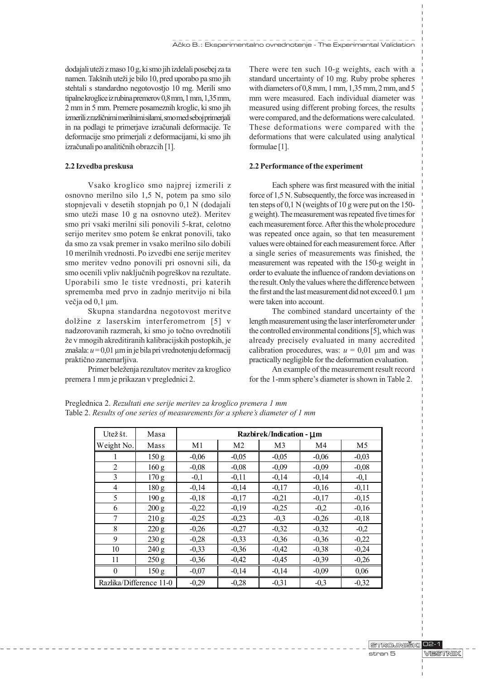dodajali uteži z maso 10 g, ki smo jih izdelali posebej za ta namen. Takšnih uteži je bilo 10, pred uporabo pa smo jih stehtali s standardno negotovostjo 10 mg. Merili smo tipalne kroglice iz rubina premerov 0,8 mm, 1 mm, 1,35 mm, 2 mm in 5 mm. Premere posameznih kroglic, ki smo jih izmerili z razliènimi merilnimi silami, smo med seboj primerjali in na podlagi te primerjave izraèunali deformacije. Te deformacije smo primerjali z deformacijami, ki smo jih izraèunali po analitiènih obrazcih [1].

#### 2.2 Izvedba preskusa

Vsako kroglico smo najprej izmerili z osnovno merilno silo 1,5 N, potem pa smo silo stopnjevali v desetih stopnjah po 0,1 N (dodajali smo uteži mase 10 g na osnovno utež). Meritev smo pri vsaki merilni sili ponovili 5-krat, celotno serijo meritev smo potem še enkrat ponovili, tako da smo za vsak premer in vsako merilno silo dobili 10 merilnih vrednosti. Po izvedbi ene serije meritev smo meritev vedno ponovili pri osnovni sili, da smo ocenili vpliv naključnih pogreškov na rezultate. Uporabili smo le tiste vrednosti, pri katerih sprememba med prvo in zadnjo meritvijo ni bila večja od 0,1 µm.

Skupna standardna negotovost meritve dolžine z laserskim interferometrom [5] v nadzorovanih razmerah, ki smo jo toèno ovrednotili že v mnogih akreditiranih kalibracijskih postopkih, je znašala:  $u = 0.01 \mu m$  in je bila pri vrednotenju deformacij praktièno zanemarljiva.

Primer beleženja rezultatov meritev za kroglico premera 1 mm je prikazan v preglednici 2.

There were ten such 10-g weights, each with a standard uncertainty of 10 mg. Ruby probe spheres with diameters of 0,8 mm, 1 mm, 1,35 mm, 2 mm, and 5 mm were measured. Each individual diameter was measured using different probing forces, the results were compared, and the deformations were calculated. These deformations were compared with the deformations that were calculated using analytical formulae [1].

## 2.2 Performance of the experiment

Each sphere was first measured with the initial force of 1,5 N. Subsequently, the force was increased in ten steps of 0,1 N (weights of 10 g were put on the 150 g weight). The measurement was repeated five times for each measurement force. After this the whole procedure was repeated once again, so that ten measurement values were obtained for each measurement force. After a single series of measurements was finished, the measurement was repeated with the 150-g weight in order to evaluate the influence of random deviations on the result. Only the values where the difference between the first and the last measurement did not exceed 0.1 µm were taken into account.

The combined standard uncertainty of the length measurement using the laser interferometer under the controlled environmental conditions [5], which was already precisely evaluated in many accredited calibration procedures, was:  $u = 0.01 \, \mu \text{m}$  and was practically negligible for the deformation evaluation.

An example of the measurement result record for the 1-mm sphere's diameter is shown in Table 2.

| Utežšt.                 | Masa             | Razbirek/Indication - µm |                |                |         |                |  |  |  |
|-------------------------|------------------|--------------------------|----------------|----------------|---------|----------------|--|--|--|
| Weight No.              | Mass             | M <sub>1</sub>           | M <sub>2</sub> | M <sub>3</sub> | M4      | M <sub>5</sub> |  |  |  |
|                         | 150 <sub>g</sub> | $-0,06$                  | $-0,05$        | $-0,05$        | $-0,06$ | $-0,03$        |  |  |  |
| $\overline{2}$          | 160 <sub>g</sub> | $-0,08$                  | $-0,08$        | $-0,09$        | $-0,09$ | $-0,08$        |  |  |  |
| 3                       | 170 g            | $-0,1$                   | $-0.11$        | $-0,14$        | $-0,14$ | $-0.1$         |  |  |  |
| 4                       | 180 g            | $-0,14$                  | $-0,14$        | $-0,17$        | $-0,16$ | $-0,11$        |  |  |  |
| 5                       | 190 g            | $-0,18$                  | $-0,17$        | $-0,21$        | $-0,17$ | $-0,15$        |  |  |  |
| 6                       | 200 g            | $-0,22$                  | $-0,19$        | $-0,25$        | $-0,2$  | $-0,16$        |  |  |  |
| 7                       | 210 g            | $-0,25$                  | $-0,23$        | $-0.3$         | $-0,26$ | $-0.18$        |  |  |  |
| 8                       | 220 g            | $-0,26$                  | $-0,27$        | $-0,32$        | $-0,32$ | $-0,2$         |  |  |  |
| 9                       | 230 g            | $-0,28$                  | $-0,33$        | $-0,36$        | $-0,36$ | $-0,22$        |  |  |  |
| 10                      | 240 g            | $-0,33$                  | $-0.36$        | $-0.42$        | $-0,38$ | $-0,24$        |  |  |  |
| 11                      | 250 g            | $-0.36$                  | $-0.42$        | $-0.45$        | $-0.39$ | $-0,26$        |  |  |  |
| $\theta$                | 150 g            | $-0,07$                  | $-0,14$        | $-0,14$        | $-0,09$ | 0,06           |  |  |  |
| Razlika/Difference 11-0 |                  | $-0,29$                  | $-0,28$        | $-0,31$        | $-0,3$  | $-0,32$        |  |  |  |

Preglednica 2. Rezultati ene serije meritev za kroglico premera 1 mm Table 2. Results of one series of measurements for a sphere's diameter of  $1 \text{ mm}$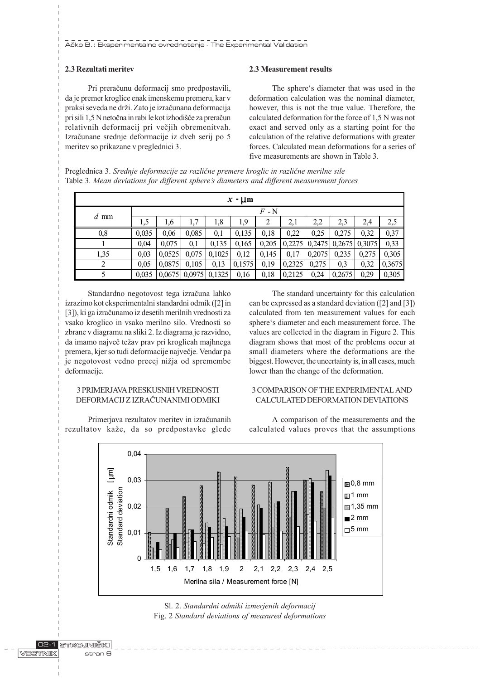# 2.3 Rezultati meritev

Pri preraèunu deformacij smo predpostavili, da je premer kroglice enak imenskemu premeru, kar v praksi seveda ne drži. Zato je izračunana deformacija pri sili 1,5 N netoèna in rabi le kot izhodièe za preraèun relativnih deformacij pri večjih obremenitvah. Izraèunane srednje deformacije iz dveh serij po 5 meritev so prikazane v preglednici 3.

# 2.3 Measurement results

The sphere's diameter that was used in the deformation calculation was the nominal diameter, however, this is not the true value. Therefore, the calculated deformation for the force of 1,5 N was not exact and served only as a starting point for the calculation of the relative deformations with greater forces. Calculated mean deformations for a series of five measurements are shown in Table 3.

Preglednica 3. Srednje deformacije za različne premere kroglic in različne merilne sile Table 3. Mean deviations for different sphere's diameters and different measurement forces

| $x - \mu$ m |                    |        |                 |        |        |       |        |        |        |        |        |
|-------------|--------------------|--------|-----------------|--------|--------|-------|--------|--------|--------|--------|--------|
|             | $F$ - $\mathrm{N}$ |        |                 |        |        |       |        |        |        |        |        |
| $d$ mm      | 1,5                | 1,6    | 1,7             | 1,8    | 1,9    | 2     | 2,1    | 2,2    | 2,3    | 2,4    | 2,5    |
| 0,8         | 0,035              | 0,06   | 0,085           | 0,1    | 0,135  | 0,18  | 0,22   | 0,25   | 0,275  | 0,32   | 0,37   |
|             | 0,04               | 0,075  | 0,1             | 0,135  | 0,165  | 0,205 | 0,2275 | 0,2475 | 0,2675 | 0,3075 | 0,33   |
| 1,35        | 0.03               | 0,0525 | 0,075           | 0,1025 | 0,12   | 0,145 | 0,17   | 0,2075 | 0,235  | 0,275  | 0,305  |
| 2           | 0.05               | 0.0875 | 0,105           | 0,13   | 0,1575 | 0,19  | 0,2325 | 0,275  | 0.3    | 0,32   | 0,3675 |
|             | 0,035              |        | $0,0675$ 0.0975 | 0,1325 | 0,16   | 0,18  | 0,2125 | 0,24   | 0,2675 | 0,29   | 0,305  |

Standardno negotovost tega izraèuna lahko izrazimo kot eksperimentalni standardni odmik ([2] in [3]), ki ga izraèunamo iz desetih merilnih vrednosti za vsako kroglico in vsako merilno silo. Vrednosti so zbrane v diagramu na sliki 2. Iz diagrama je razvidno, da imamo največ težav prav pri kroglicah majhnega premera, kjer so tudi deformacije najveèje. Vendar pa je negotovost vedno precej nižja od spremembe deformacije.

# 3 PRIMERJAVA PRESKUSNIH VREDNOSTI DEFORMACIJ Z IZRAÈUNANIMI ODMIKI

Primerjava rezultatov meritev in izraèunanih rezultatov kaže, da so predpostavke glede

The standard uncertainty for this calculation can be expressed as a standard deviation ([2] and [3]) calculated from ten measurement values for each sphere's diameter and each measurement force. The values are collected in the diagram in Figure 2. This diagram shows that most of the problems occur at small diameters where the deformations are the biggest. However, the uncertainty is, in all cases, much lower than the change of the deformation.

# 3 COMPARISON OF THE EXPERIMENTAL AND CALCULATED DEFORMATION DEVIATIONS

A comparison of the measurements and the calculated values proves that the assumptions



Sl. 2. Standardni odmiki izmerjenih deformacij Fig. 2 Standard deviations of measured deformations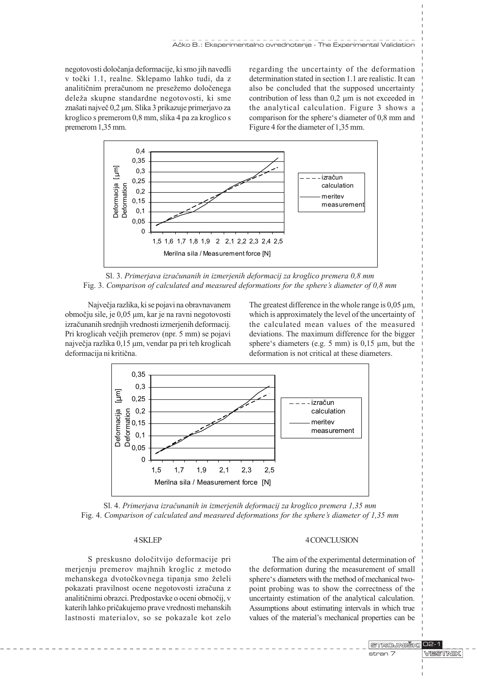negotovosti doloèanja deformacije, ki smo jih navedli v toèki 1.1, realne. Sklepamo lahko tudi, da z analitičnim preračunom ne presežemo določenega deleža skupne standardne negotovosti, ki sme znašati največ 0,2 µm. Slika 3 prikazuje primerjavo za kroglico s premerom 0,8 mm, slika 4 pa za kroglico s premerom 1,35 mm.

regarding the uncertainty of the deformation determination stated in section 1.1 are realistic. It can also be concluded that the supposed uncertainty contribution of less than 0,2 µm is not exceeded in the analytical calculation. Figure 3 shows a comparison for the sphere's diameter of 0,8 mm and Figure 4 for the diameter of 1,35 mm.



Sl. 3. Primerjava izraèunanih in izmerjenih deformacij za kroglico premera 0,8 mm Fig. 3. Comparison of calculated and measured deformations for the sphere's diameter of  $0,8$  mm

Najveèja razlika, ki se pojavi na obravnavanem obmoèju sile, je 0,05 µm, kar je na ravni negotovosti izraèunanih srednjih vrednosti izmerjenih deformacij. Pri kroglicah veèjih premerov (npr. 5 mm) se pojavi najveèja razlika 0,15 µm, vendar pa pri teh kroglicah deformacija ni kritièna.

The greatest difference in the whole range is  $0.05 \mu m$ , which is approximately the level of the uncertainty of the calculated mean values of the measured deviations. The maximum difference for the bigger sphere's diameters (e.g. 5 mm) is  $0,15 \mu m$ , but the deformation is not critical at these diameters.



Sl. 4. Primerjava izraèunanih in izmerjenih deformacij za kroglico premera 1,35 mm Fig. 4. Comparison of calculated and measured deformations for the sphere's diameter of 1,35 mm

## 4 SKLEP

S preskusno doloèitvijo deformacije pri merjenju premerov majhnih kroglic z metodo mehanskega dvotočkovnega tipanja smo želeli pokazati pravilnost ocene negotovosti izraèuna z analitiènimi obrazci. Predpostavke o oceni obmoèij, v katerih lahko prièakujemo prave vrednosti mehanskih lastnosti materialov, so se pokazale kot zelo

#### 4 CONCLUSION

The aim of the experimental determination of the deformation during the measurement of small sphere's diameters with the method of mechanical twopoint probing was to show the correctness of the uncertainty estimation of the analytical calculation. Assumptions about estimating intervals in which true values of the material's mechanical properties can be